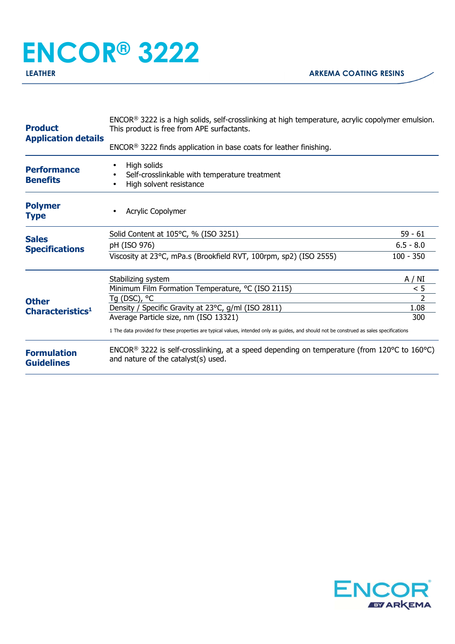## **ENCOR® 3222**

| $ENCOR®$ 3222 finds application in base coats for leather finishing.<br>High solids<br><b>Performance</b><br>Self-crosslinkable with temperature treatment<br><b>Benefits</b><br>High solvent resistance<br><b>Polymer</b><br>Acrylic Copolymer<br><b>Type</b><br>Solid Content at 105°C, % (ISO 3251)<br>59 - 61<br><b>Sales</b><br>$6.5 - 8.0$<br>pH (ISO 976)<br><b>Specifications</b><br>Viscosity at 23°C, mPa.s (Brookfield RVT, 100rpm, sp2) (ISO 2555)<br>$100 - 350$<br>A / NI<br>Stabilizing system<br>Minimum Film Formation Temperature, °C (ISO 2115)<br>< 5<br>$\mathcal{P}$<br>Tg (DSC), °C<br><b>Other</b><br>1.08<br>Density / Specific Gravity at 23°C, g/ml (ISO 2811)<br>Characteristics <sup>1</sup><br>Average Particle size, nm (ISO 13321)<br>300<br>1 The data provided for these properties are typical values, intended only as guides, and should not be construed as sales specifications<br>ENCOR <sup>®</sup> 3222 is self-crosslinking, at a speed depending on temperature (from 120°C to 160°C)<br><b>Formulation</b><br>and nature of the catalyst(s) used.<br><b>Guidelines</b> | <b>Product</b><br><b>Application details</b> | ENCOR <sup>®</sup> 3222 is a high solids, self-crosslinking at high temperature, acrylic copolymer emulsion.<br>This product is free from APE surfactants. |  |  |
|---------------------------------------------------------------------------------------------------------------------------------------------------------------------------------------------------------------------------------------------------------------------------------------------------------------------------------------------------------------------------------------------------------------------------------------------------------------------------------------------------------------------------------------------------------------------------------------------------------------------------------------------------------------------------------------------------------------------------------------------------------------------------------------------------------------------------------------------------------------------------------------------------------------------------------------------------------------------------------------------------------------------------------------------------------------------------------------------------------------------|----------------------------------------------|------------------------------------------------------------------------------------------------------------------------------------------------------------|--|--|
|                                                                                                                                                                                                                                                                                                                                                                                                                                                                                                                                                                                                                                                                                                                                                                                                                                                                                                                                                                                                                                                                                                                     |                                              |                                                                                                                                                            |  |  |
|                                                                                                                                                                                                                                                                                                                                                                                                                                                                                                                                                                                                                                                                                                                                                                                                                                                                                                                                                                                                                                                                                                                     |                                              |                                                                                                                                                            |  |  |
|                                                                                                                                                                                                                                                                                                                                                                                                                                                                                                                                                                                                                                                                                                                                                                                                                                                                                                                                                                                                                                                                                                                     |                                              |                                                                                                                                                            |  |  |
|                                                                                                                                                                                                                                                                                                                                                                                                                                                                                                                                                                                                                                                                                                                                                                                                                                                                                                                                                                                                                                                                                                                     |                                              |                                                                                                                                                            |  |  |
|                                                                                                                                                                                                                                                                                                                                                                                                                                                                                                                                                                                                                                                                                                                                                                                                                                                                                                                                                                                                                                                                                                                     |                                              |                                                                                                                                                            |  |  |
|                                                                                                                                                                                                                                                                                                                                                                                                                                                                                                                                                                                                                                                                                                                                                                                                                                                                                                                                                                                                                                                                                                                     |                                              |                                                                                                                                                            |  |  |
|                                                                                                                                                                                                                                                                                                                                                                                                                                                                                                                                                                                                                                                                                                                                                                                                                                                                                                                                                                                                                                                                                                                     |                                              |                                                                                                                                                            |  |  |
|                                                                                                                                                                                                                                                                                                                                                                                                                                                                                                                                                                                                                                                                                                                                                                                                                                                                                                                                                                                                                                                                                                                     |                                              |                                                                                                                                                            |  |  |
|                                                                                                                                                                                                                                                                                                                                                                                                                                                                                                                                                                                                                                                                                                                                                                                                                                                                                                                                                                                                                                                                                                                     |                                              |                                                                                                                                                            |  |  |
|                                                                                                                                                                                                                                                                                                                                                                                                                                                                                                                                                                                                                                                                                                                                                                                                                                                                                                                                                                                                                                                                                                                     |                                              |                                                                                                                                                            |  |  |
|                                                                                                                                                                                                                                                                                                                                                                                                                                                                                                                                                                                                                                                                                                                                                                                                                                                                                                                                                                                                                                                                                                                     |                                              |                                                                                                                                                            |  |  |
|                                                                                                                                                                                                                                                                                                                                                                                                                                                                                                                                                                                                                                                                                                                                                                                                                                                                                                                                                                                                                                                                                                                     |                                              |                                                                                                                                                            |  |  |